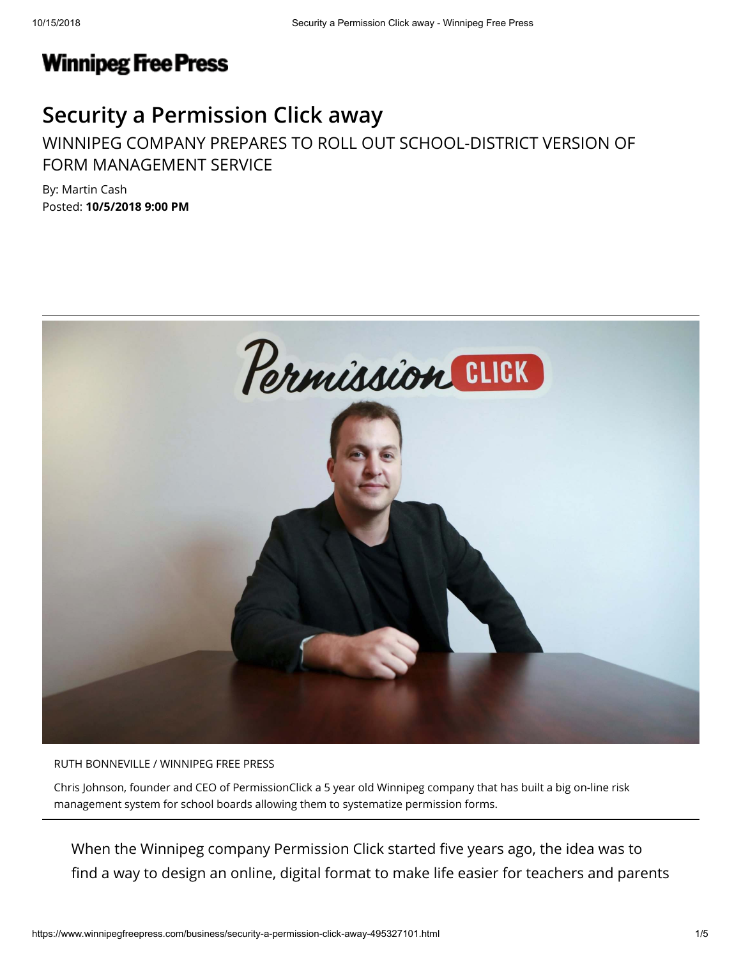# **Winnipeg Free Press**

# **Security a Permission Click away**

## WINNIPEG COMPANY PREPARES TO ROLL OUT SCHOOL-DISTRICT VERSION OF FORM MANAGEMENT SERVICE

By: [Martin](https://www.winnipegfreepress.com/biographies/304912731.html) Cash Posted: **10/5/2018 9:00 PM**



#### RUTH BONNEVILLE / WINNIPEG FREE PRESS

Chris Johnson, founder and CEO of PermissionClick a 5 year old Winnipeg company that has built a big on-line risk management system for school boards allowing them to systematize permission forms.

When the Winnipeg company Permission Click started five years ago, the idea was to find a way to design an online, digital format to make life easier for teachers and parents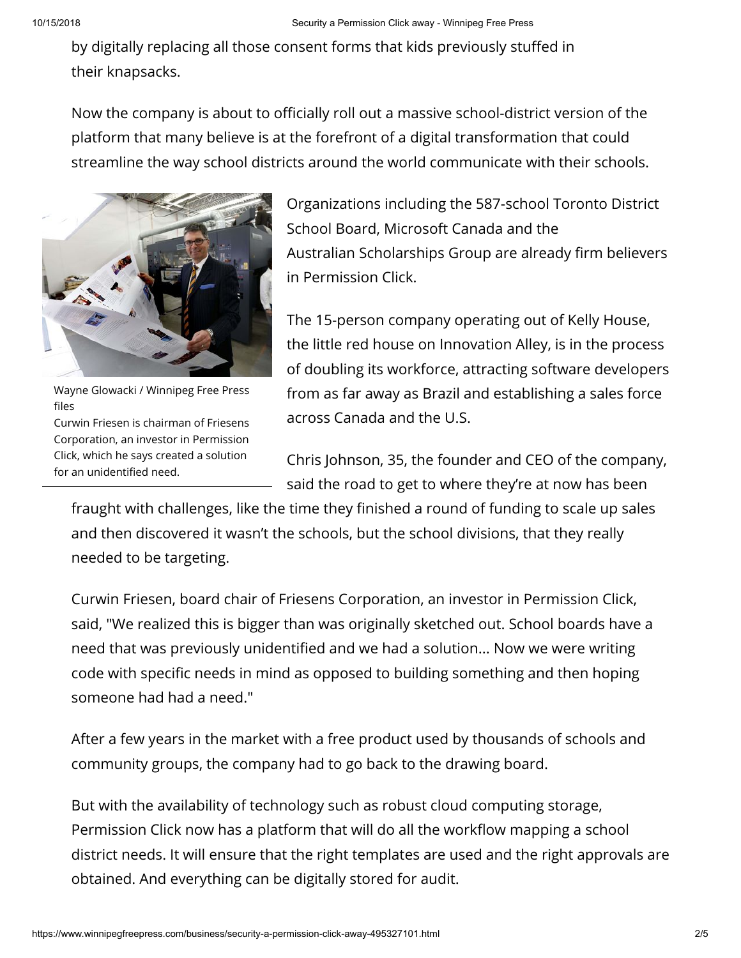by digitally replacing all those consent forms that kids previously stuffed in their knapsacks.

Now the company is about to officially roll out a massive school-district version of the platform that many believe is at the forefront of a digital transformation that could streamline the way school districts around the world communicate with their schools.



Wayne Glowacki / Winnipeg Free Press files

Curwin Friesen is chairman of Friesens Corporation, an investor in Permission Click, which he says created a solution for an unidentified need.

Organizations including the 587-school Toronto District School Board, Microsoft Canada and the Australian Scholarships Group are already firm believers in Permission Click.

The 15-person company operating out of Kelly House, the little red house on Innovation Alley, is in the process of doubling its workforce, attracting software developers from as far away as Brazil and establishing a sales force across Canada and the U.S.

Chris Johnson, 35, the founder and CEO of the company, said the road to get to where they're at now has been

fraught with challenges, like the time they finished a round of funding to scale up sales and then discovered it wasn't the schools, but the school divisions, that they really needed to be targeting.

Curwin Friesen, board chair of Friesens Corporation, an investor in Permission Click, said, "We realized this is bigger than was originally sketched out. School boards have a need that was previously unidentified and we had a solution... Now we were writing code with specific needs in mind as opposed to building something and then hoping someone had had a need."

After a few years in the market with a free product used by thousands of schools and community groups, the company had to go back to the drawing board.

But with the availability of technology such as robust cloud computing storage, Permission Click now has a platform that will do all the workflow mapping a school district needs. It will ensure that the right templates are used and the right approvals are obtained. And everything can be digitally stored for audit.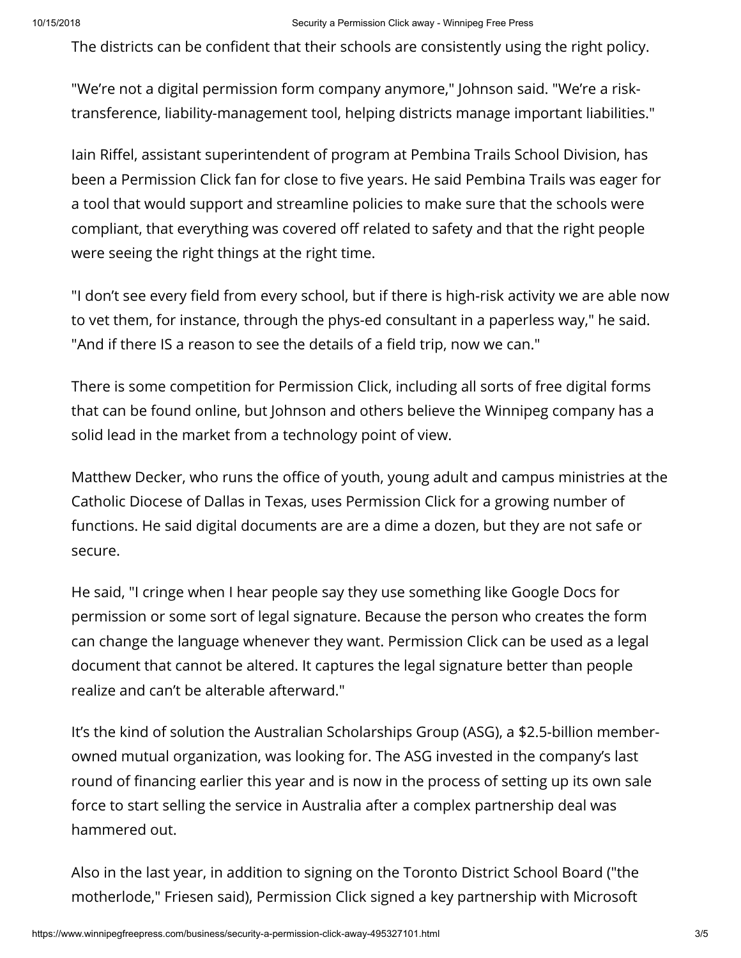The districts can be confident that their schools are consistently using the right policy.

"We're not a digital permission form company anymore," Johnson said. "We're a risktransference, liability-management tool, helping districts manage important liabilities."

Iain Riffel, assistant superintendent of program at Pembina Trails School Division, has been a Permission Click fan for close to five years. He said Pembina Trails was eager for a tool that would support and streamline policies to make sure that the schools were compliant, that everything was covered off related to safety and that the right people were seeing the right things at the right time.

"I don't see every field from every school, but if there is high-risk activity we are able now to vet them, for instance, through the phys-ed consultant in a paperless way," he said. "And if there IS a reason to see the details of a field trip, now we can."

There is some competition for Permission Click, including all sorts of free digital forms that can be found online, but Johnson and others believe the Winnipeg company has a solid lead in the market from a technology point of view.

Matthew Decker, who runs the office of youth, young adult and campus ministries at the Catholic Diocese of Dallas in Texas, uses Permission Click for a growing number of functions. He said digital documents are are a dime a dozen, but they are not safe or secure.

He said, "I cringe when I hear people say they use something like Google Docs for permission or some sort of legal signature. Because the person who creates the form can change the language whenever they want. Permission Click can be used as a legal document that cannot be altered. It captures the legal signature better than people realize and can't be alterable afterward."

It's the kind of solution the Australian Scholarships Group (ASG), a \$2.5-billion memberowned mutual organization, was looking for. The ASG invested in the company's last round of financing earlier this year and is now in the process of setting up its own sale force to start selling the service in Australia after a complex partnership deal was hammered out.

Also in the last year, in addition to signing on the Toronto District School Board ("the motherlode," Friesen said), Permission Click signed a key partnership with Microsoft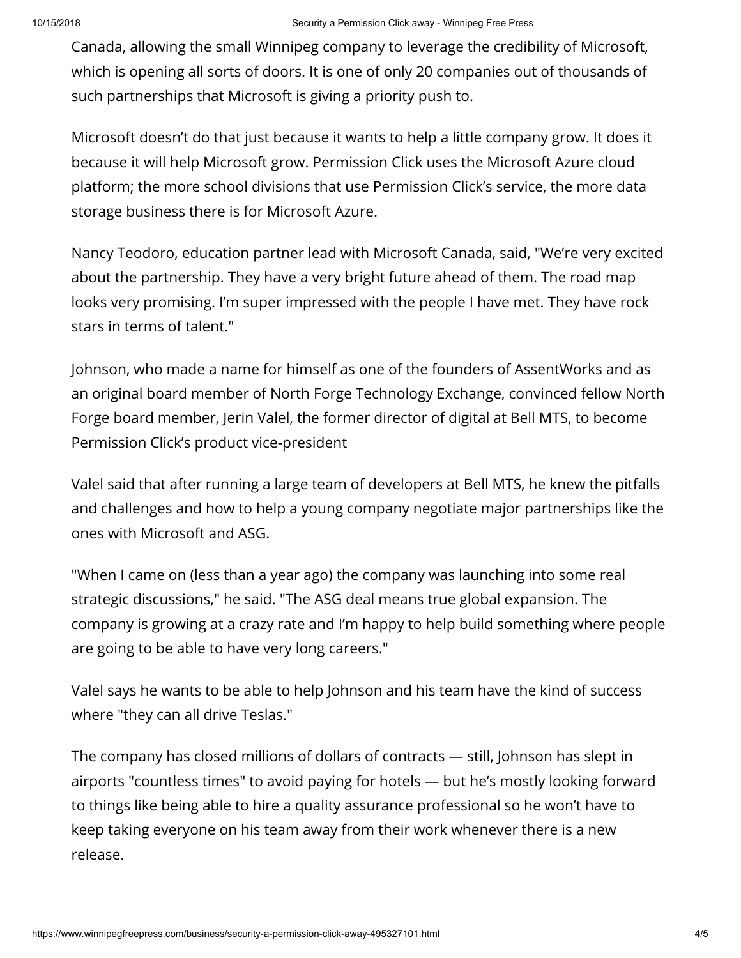Canada, allowing the small Winnipeg company to leverage the credibility of Microsoft, which is opening all sorts of doors. It is one of only 20 companies out of thousands of such partnerships that Microsoft is giving a priority push to.

Microsoft doesn't do that just because it wants to help a little company grow. It does it because it will help Microsoft grow. Permission Click uses the Microsoft Azure cloud platform; the more school divisions that use Permission Click's service, the more data storage business there is for Microsoft Azure.

Nancy Teodoro, education partner lead with Microsoft Canada, said, "We're very excited about the partnership. They have a very bright future ahead of them. The road map looks very promising. I'm super impressed with the people I have met. They have rock stars in terms of talent."

Johnson, who made a name for himself as one of the founders of AssentWorks and as an original board member of North Forge Technology Exchange, convinced fellow North Forge board member, Jerin Valel, the former director of digital at Bell MTS, to become Permission Click's product vice-president

Valel said that after running a large team of developers at Bell MTS, he knew the pitfalls and challenges and how to help a young company negotiate major partnerships like the ones with Microsoft and ASG.

"When I came on (less than a year ago) the company was launching into some real strategic discussions," he said. "The ASG deal means true global expansion. The company is growing at a crazy rate and I'm happy to help build something where people are going to be able to have very long careers."

Valel says he wants to be able to help Johnson and his team have the kind of success where "they can all drive Teslas."

The company has closed millions of dollars of contracts — still, Johnson has slept in airports "countless times" to avoid paying for hotels — but he's mostly looking forward to things like being able to hire a quality assurance professional so he won't have to keep taking everyone on his team away from their work whenever there is a new release.